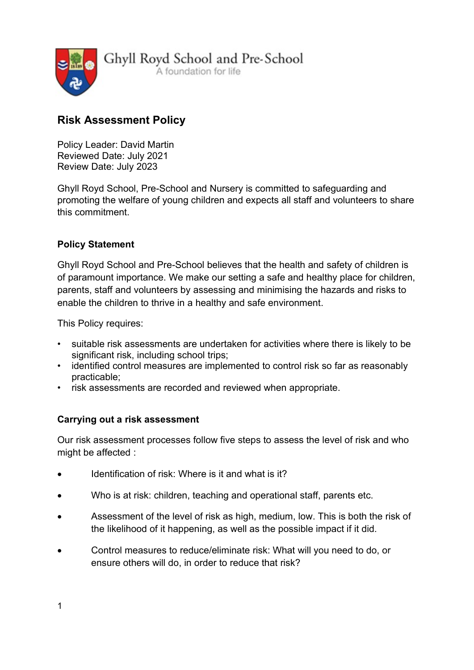

Ghyll Royd School and Pre-School A foundation for life

# Risk Assessment Policy

Policy Leader: David Martin Reviewed Date: July 2021 Review Date: July 2023

Ghyll Royd School, Pre-School and Nursery is committed to safeguarding and promoting the welfare of young children and expects all staff and volunteers to share this commitment.

## Policy Statement

Ghyll Royd School and Pre-School believes that the health and safety of children is of paramount importance. We make our setting a safe and healthy place for children, parents, staff and volunteers by assessing and minimising the hazards and risks to enable the children to thrive in a healthy and safe environment.

This Policy requires:

- suitable risk assessments are undertaken for activities where there is likely to be significant risk, including school trips;
- identified control measures are implemented to control risk so far as reasonably practicable;
- risk assessments are recorded and reviewed when appropriate.

### Carrying out a risk assessment

Our risk assessment processes follow five steps to assess the level of risk and who might be affected :

- Identification of risk: Where is it and what is it?
- Who is at risk: children, teaching and operational staff, parents etc.
- Assessment of the level of risk as high, medium, low. This is both the risk of the likelihood of it happening, as well as the possible impact if it did.
- Control measures to reduce/eliminate risk: What will you need to do, or ensure others will do, in order to reduce that risk?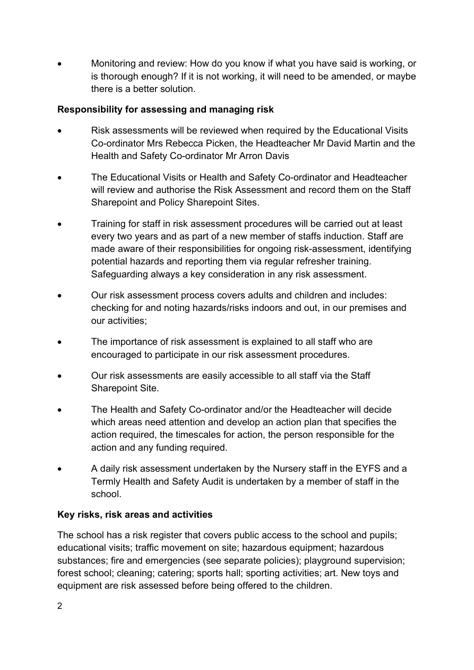Monitoring and review: How do you know if what you have said is working, or is thorough enough? If it is not working, it will need to be amended, or maybe there is a better solution.

### Responsibility for assessing and managing risk

- Risk assessments will be reviewed when required by the Educational Visits Co-ordinator Mrs Rebecca Picken, the Headteacher Mr David Martin and the Health and Safety Co-ordinator Mr Arron Davis
- The Educational Visits or Health and Safety Co-ordinator and Headteacher will review and authorise the Risk Assessment and record them on the Staff Sharepoint and Policy Sharepoint Sites.
- Training for staff in risk assessment procedures will be carried out at least every two years and as part of a new member of staffs induction. Staff are made aware of their responsibilities for ongoing risk-assessment, identifying potential hazards and reporting them via regular refresher training. Safeguarding always a key consideration in any risk assessment.
- Our risk assessment process covers adults and children and includes: checking for and noting hazards/risks indoors and out, in our premises and our activities;
- The importance of risk assessment is explained to all staff who are encouraged to participate in our risk assessment procedures.
- Our risk assessments are easily accessible to all staff via the Staff Sharepoint Site.
- The Health and Safety Co-ordinator and/or the Headteacher will decide which areas need attention and develop an action plan that specifies the action required, the timescales for action, the person responsible for the action and any funding required.
- A daily risk assessment undertaken by the Nursery staff in the EYFS and a Termly Health and Safety Audit is undertaken by a member of staff in the school.

## Key risks, risk areas and activities

The school has a risk register that covers public access to the school and pupils; educational visits; traffic movement on site; hazardous equipment; hazardous substances; fire and emergencies (see separate policies); playground supervision; forest school; cleaning; catering; sports hall; sporting activities; art. New toys and equipment are risk assessed before being offered to the children.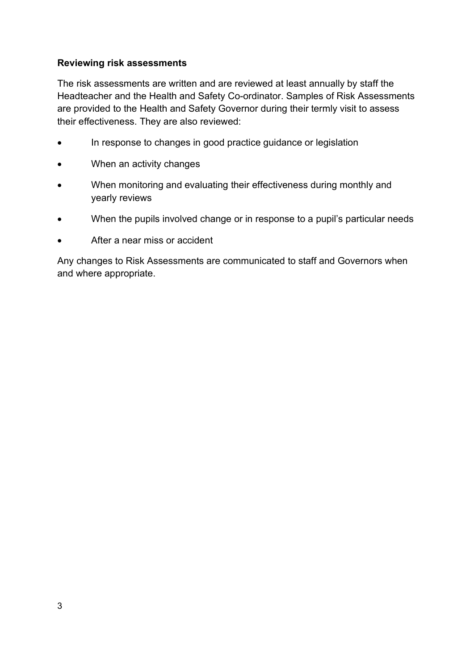#### Reviewing risk assessments

The risk assessments are written and are reviewed at least annually by staff the Headteacher and the Health and Safety Co-ordinator. Samples of Risk Assessments are provided to the Health and Safety Governor during their termly visit to assess their effectiveness. They are also reviewed:

- In response to changes in good practice guidance or legislation
- When an activity changes
- When monitoring and evaluating their effectiveness during monthly and yearly reviews
- When the pupils involved change or in response to a pupil's particular needs
- After a near miss or accident

Any changes to Risk Assessments are communicated to staff and Governors when and where appropriate.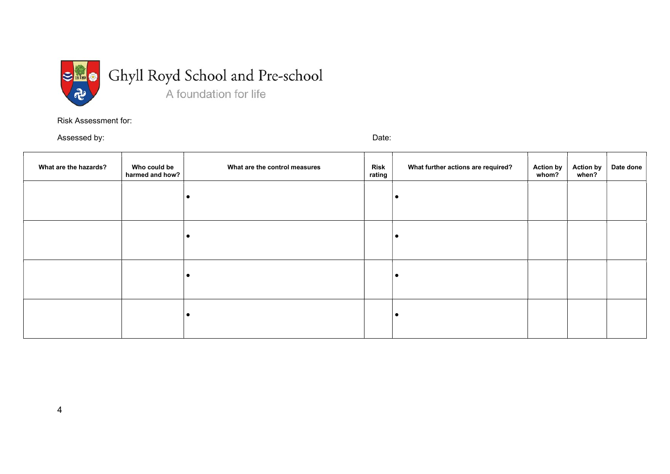

Risk Assessment for:

Assessed by: Date: Date: Date: Date: Date: Date: Date: Date: Date: Date: Date: Date: Date: Date: Date: Date: Date: Date: Date: Date: Date: Date: Date: Date: Date: Date: Date: Date: Date: Date: Date: Date: Date: Date: Date:

| What are the hazards? | Who could be<br>harmed and how? | What are the control measures | <b>Risk</b><br>rating | What further actions are required? | <b>Action by</b><br>whom? | Action by<br>when? | Date done |
|-----------------------|---------------------------------|-------------------------------|-----------------------|------------------------------------|---------------------------|--------------------|-----------|
|                       |                                 |                               |                       |                                    |                           |                    |           |
|                       |                                 |                               |                       |                                    |                           |                    |           |
|                       |                                 |                               |                       |                                    |                           |                    |           |
|                       |                                 |                               |                       | $\bullet$                          |                           |                    |           |